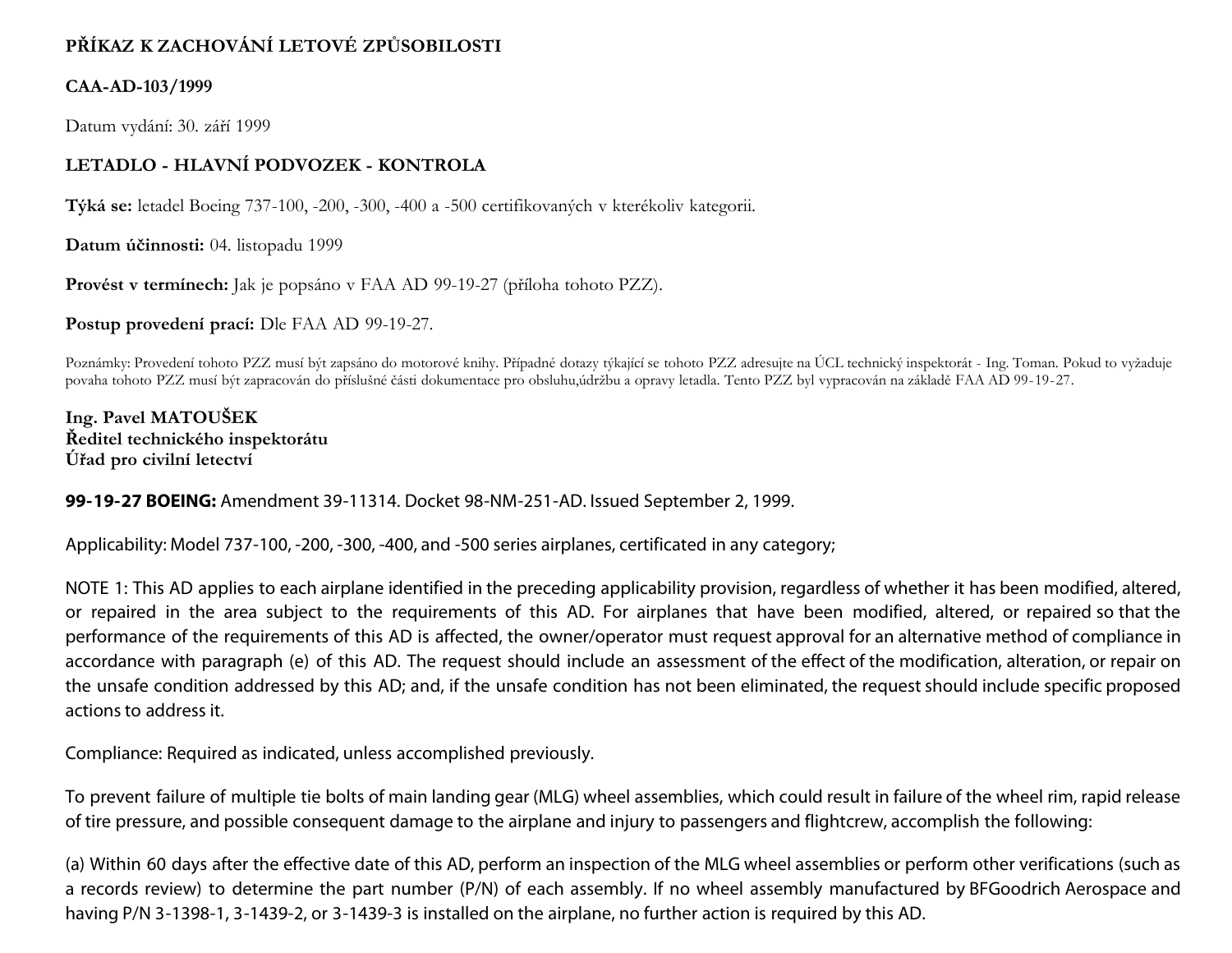# **PŘÍKAZ K ZACHOVÁNÍ LETOVÉ ZPŮSOBILOSTI**

## **CAA-AD-103/1999**

Datum vydání: 30. září 1999

# **LETADLO - HLAVNÍ PODVOZEK - KONTROLA**

**Týká se:** letadel Boeing 737-100, -200, -300, -400 a -500 certifikovaných v kterékoliv kategorii.

**Datum účinnosti:** 04. listopadu 1999

**Provést v termínech:** Jak je popsáno v FAA AD 99-19-27 (příloha tohoto PZZ).

**Postup provedení prací:** Dle FAA AD 99-19-27.

Poznámky: Provedení tohoto PZZ musí být zapsáno do motorové knihy. Případné dotazy týkající se tohoto PZZ adresujte na ÚCL technický inspektorát - Ing. Toman. Pokud to vyžaduje povaha tohoto PZZ musí být zapracován do příslušné části dokumentace pro obsluhu,údržbu a opravy letadla. Tento PZZ byl vypracován na základě FAA AD 99-19-27.

**Ing. Pavel MATOUŠEK Ředitel technického inspektorátu Úřad pro civilní letectví**

#### **99-19-27 BOEING:** Amendment 39-11314. Docket 98-NM-251-AD. Issued September 2, 1999.

Applicability: Model 737-100, -200, -300, -400, and -500 series airplanes, certificated in any category;

NOTE 1: This AD applies to each airplane identified in the preceding applicability provision, regardless of whether it has been modified, altered, or repaired in the area subject to the requirements of this AD. For airplanes that have been modified, altered, or repaired so that the performance of the requirements of this AD is affected, the owner/operator must request approval for an alternative method of compliance in accordance with paragraph (e) of this AD. The request should include an assessment of the effect of the modification, alteration, or repair on the unsafe condition addressed by this AD; and, if the unsafe condition has not been eliminated, the request should include specific proposed actions to address it.

Compliance: Required as indicated, unless accomplished previously.

To prevent failure of multiple tie bolts of main landing gear (MLG) wheel assemblies, which could result in failure of the wheel rim, rapid release of tire pressure, and possible consequent damage to the airplane and injury to passengers and flightcrew, accomplish the following:

(a) Within 60 days after the effective date of this AD, perform an inspection of the MLG wheel assemblies or perform other verifications (such as a records review) to determine the part number (P/N) of each assembly. If no wheel assembly manufactured by BFGoodrich Aerospace and having P/N 3-1398-1, 3-1439-2, or 3-1439-3 is installed on the airplane, no further action is required by this AD.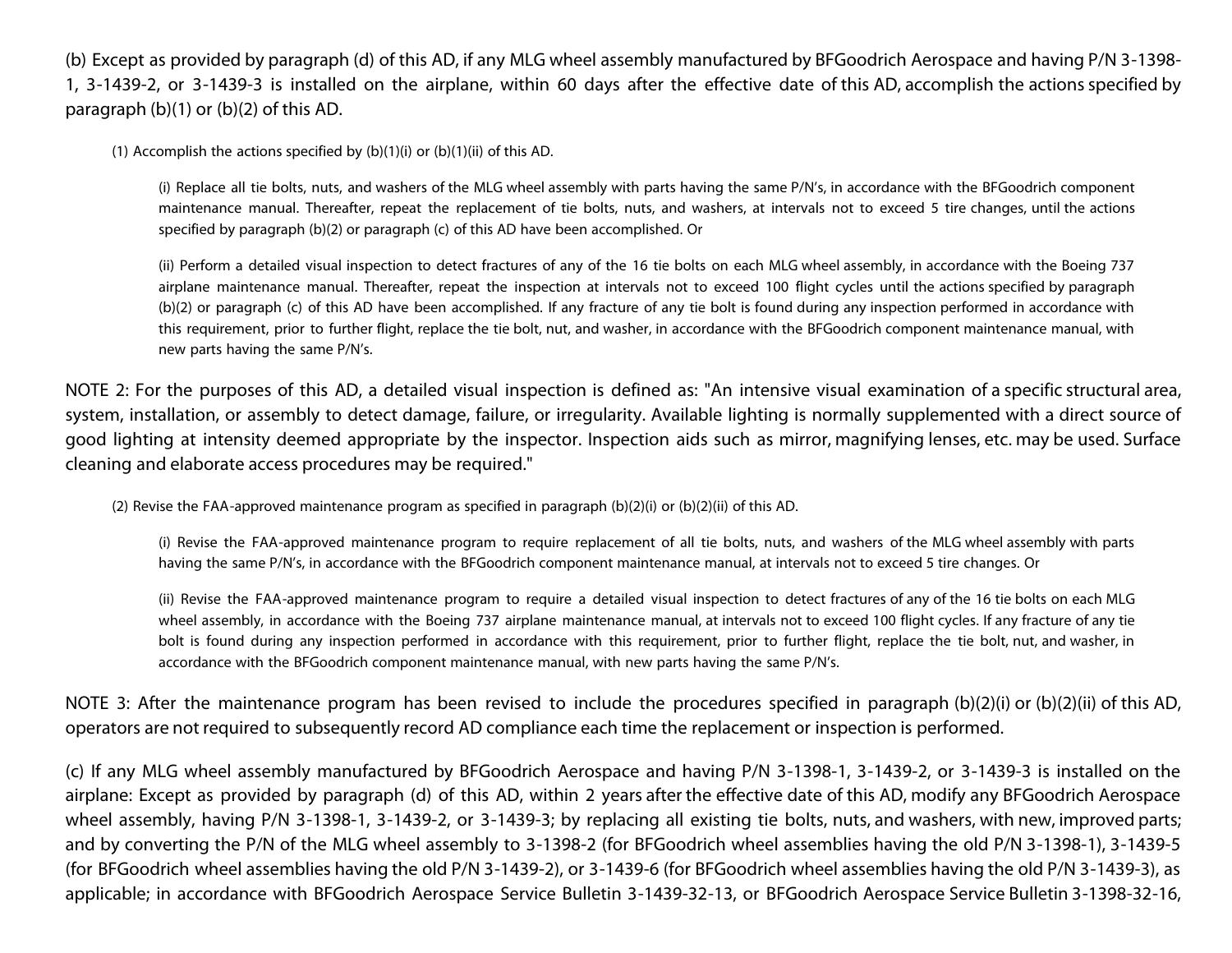(b) Except as provided by paragraph (d) of this AD, if any MLG wheel assembly manufactured by BFGoodrich Aerospace and having P/N 3-1398- 1, 3-1439-2, or 3-1439-3 is installed on the airplane, within 60 days after the effective date of this AD, accomplish the actions specified by paragraph (b)(1) or (b)(2) of this AD.

(1) Accomplish the actions specified by  $(b)(1)(i)$  or  $(b)(1)(ii)$  of this AD.

(i) Replace all tie bolts, nuts, and washers of the MLG wheel assembly with parts having the same P/N's, in accordance with the BFGoodrich component maintenance manual. Thereafter, repeat the replacement of tie bolts, nuts, and washers, at intervals not to exceed 5 tire changes, until the actions specified by paragraph (b)(2) or paragraph (c) of this AD have been accomplished. Or

(ii) Perform a detailed visual inspection to detect fractures of any of the 16 tie bolts on each MLG wheel assembly, in accordance with the Boeing 737 airplane maintenance manual. Thereafter, repeat the inspection at intervals not to exceed 100 flight cycles until the actions specified by paragraph (b)(2) or paragraph (c) of this AD have been accomplished. If any fracture of any tie bolt is found during any inspection performed in accordance with this requirement, prior to further flight, replace the tie bolt, nut, and washer, in accordance with the BFGoodrich component maintenance manual, with new parts having the same P/N's.

NOTE 2: For the purposes of this AD, a detailed visual inspection is defined as: "An intensive visual examination of a specific structural area, system, installation, or assembly to detect damage, failure, or irregularity. Available lighting is normally supplemented with a direct source of good lighting at intensity deemed appropriate by the inspector. Inspection aids such as mirror, magnifying lenses, etc. may be used. Surface cleaning and elaborate access procedures may be required."

(2) Revise the FAA-approved maintenance program as specified in paragraph (b)(2)(i) or (b)(2)(ii) of this AD.

(i) Revise the FAA-approved maintenance program to require replacement of all tie bolts, nuts, and washers of the MLG wheel assembly with parts having the same P/N's, in accordance with the BFGoodrich component maintenance manual, at intervals not to exceed 5 tire changes. Or

(ii) Revise the FAA-approved maintenance program to require a detailed visual inspection to detect fractures of any of the 16 tie bolts on each MLG wheel assembly, in accordance with the Boeing 737 airplane maintenance manual, at intervals not to exceed 100 flight cycles. If any fracture of any tie bolt is found during any inspection performed in accordance with this requirement, prior to further flight, replace the tie bolt, nut, and washer, in accordance with the BFGoodrich component maintenance manual, with new parts having the same P/N's.

NOTE 3: After the maintenance program has been revised to include the procedures specified in paragraph (b)(2)(i) or (b)(2)(ii) of this AD, operators are not required to subsequently record AD compliance each time the replacement or inspection is performed.

(c) If any MLG wheel assembly manufactured by BFGoodrich Aerospace and having P/N 3-1398-1, 3-1439-2, or 3-1439-3 is installed on the airplane: Except as provided by paragraph (d) of this AD, within 2 years after the effective date of this AD, modify any BFGoodrich Aerospace wheel assembly, having P/N 3-1398-1, 3-1439-2, or 3-1439-3; by replacing all existing tie bolts, nuts, and washers, with new, improved parts; and by converting the P/N of the MLG wheel assembly to 3-1398-2 (for BFGoodrich wheel assemblies having the old P/N 3-1398-1), 3-1439-5 (for BFGoodrich wheel assemblies having the old P/N 3-1439-2), or 3-1439-6 (for BFGoodrich wheel assemblies having the old P/N 3-1439-3), as applicable; in accordance with BFGoodrich Aerospace Service Bulletin 3-1439-32-13, or BFGoodrich Aerospace Service Bulletin 3-1398-32-16,